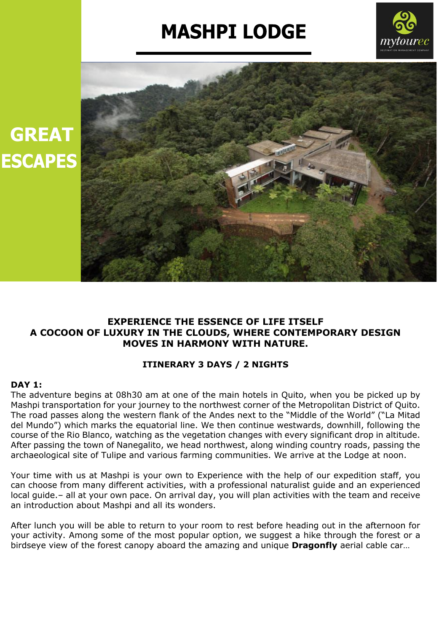# **MASHPI LODGE**





## **EXPERIENCE THE ESSENCE OF LIFE ITSELF A COCOON OF LUXURY IN THE CLOUDS, WHERE CONTEMPORARY DESIGN MOVES IN HARMONY WITH NATURE.**

## **ITINERARY 3 DAYS / 2 NIGHTS**

### **DAY 1:**

The adventure begins at 08h30 am at one of the main hotels in Quito, when you be picked up by Mashpi transportation for your journey to the northwest corner of the Metropolitan District of Quito. The road passes along the western flank of the Andes next to the "Middle of the World" ("La Mitad del Mundo") which marks the equatorial line. We then continue westwards, downhill, following the course of the Rio Blanco, watching as the vegetation changes with every significant drop in altitude. After passing the town of Nanegalito, we head northwest, along winding country roads, passing the archaeological site of Tulipe and various farming communities. We arrive at the Lodge at noon.

Your time with us at Mashpi is your own to Experience with the help of our expedition staff, you can choose from many different activities, with a professional naturalist guide and an experienced local guide.– all at your own pace. On arrival day, you will plan activities with the team and receive an introduction about Mashpi and all its wonders.

After lunch you will be able to return to your room to rest before heading out in the afternoon for your activity. Among some of the most popular option, we suggest a hike through the forest or a birdseye view of the forest canopy aboard the amazing and unique **Dragonfly** aerial cable car…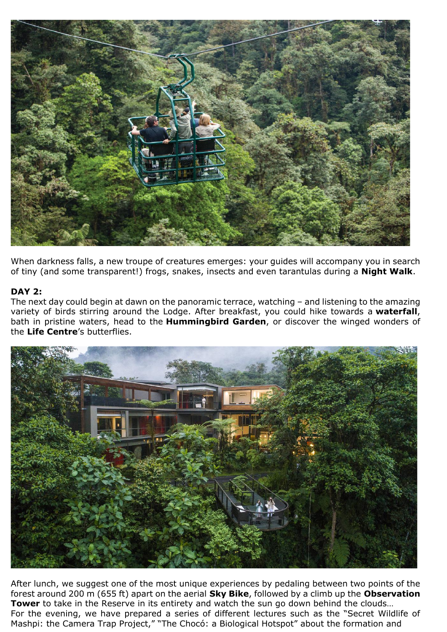

When darkness falls, a new troupe of creatures emerges: your guides will accompany you in search of tiny (and some transparent!) frogs, snakes, insects and even tarantulas during a **Night Walk**.

#### **DAY 2:**

The next day could begin at dawn on the panoramic terrace, watching – and listening to the amazing variety of birds stirring around the Lodge. After breakfast, you could hike towards a **waterfall**, bath in pristine waters, head to the **Hummingbird Garden**, or discover the winged wonders of the **Life Centre**'s butterflies.



After lunch, we suggest one of the most unique experiences by pedaling between two points of the forest around 200 m (655 ft) apart on the aerial **Sky Bike**, followed by a climb up the **Observation Tower** to take in the Reserve in its entirety and watch the sun go down behind the clouds... For the evening, we have prepared a series of different lectures such as the "Secret Wildlife of Mashpi: the Camera Trap Project," "The Chocó: a Biological Hotspot" about the formation and